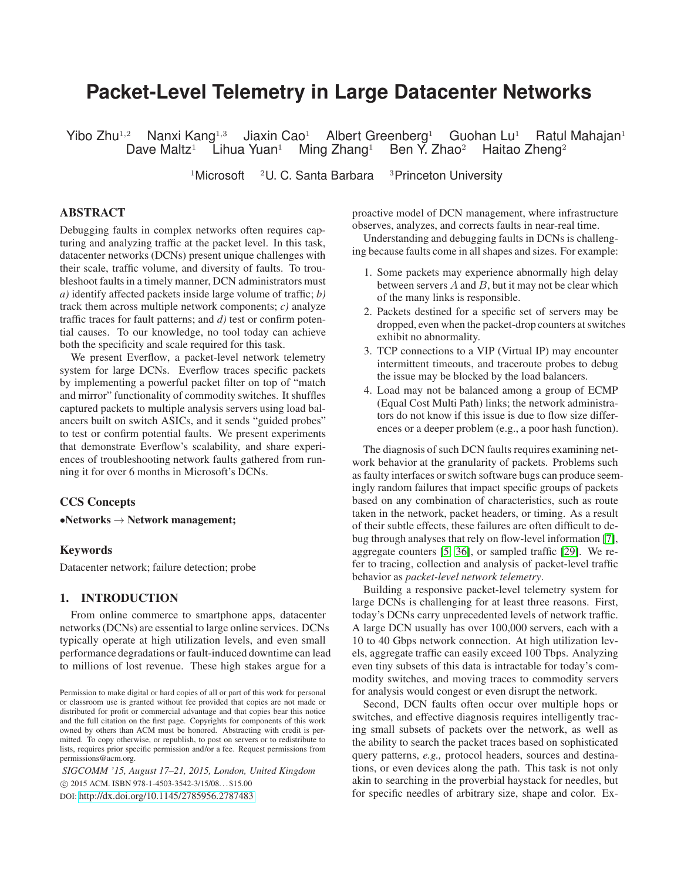# **Packet-Level Telemetry in Large Datacenter Networks**

Yibo Zhu<sup>1,2</sup> Nanxi Kang<sup>1,3</sup> Jiaxin Cao<sup>1</sup> Albert Greenberg<sup>1</sup> Guohan Lu<sup>1</sup> Ratul Mahajan<sup>1</sup> Dave Maltz<sup>1</sup> Lihua Yuan<sup>1</sup> Ming Zhang<sup>1</sup> Ben Y. Zhao<sup>2</sup> Haitao Zheng<sup>2</sup>

 $1$ Microsoft  $2U$ . C. Santa Barbara  $3P$ rinceton University

# **ABSTRACT**

Debugging faults in complex networks often requires capturing and analyzing traffic at the packet level. In this task, datacenter networks (DCNs) present unique challenges with their scale, traffic volume, and diversity of faults. To troubleshoot faults in a timely manner, DCN administrators must *a)* identify affected packets inside large volume of traffic; *b)* track them across multiple network components; *c)* analyze traffic traces for fault patterns; and *d)* test or confirm potential causes. To our knowledge, no tool today can achieve both the specificity and scale required for this task.

We present Everflow, a packet-level network telemetry system for large DCNs. Everflow traces specific packets by implementing a powerful packet filter on top of "match and mirror" functionality of commodity switches. It shuffles captured packets to multiple analysis servers using load balancers built on switch ASICs, and it sends "guided probes" to test or confirm potential faults. We present experiments that demonstrate Everflow's scalability, and share experiences of troubleshooting network faults gathered from running it for over 6 months in Microsoft's DCNs.

# **CCS Concepts**

•**Networks** → **Network management;**

#### **Keywords**

Datacenter network; failure detection; probe

## **1. INTRODUCTION**

From online commerce to smartphone apps, datacenter networks (DCNs) are essential to large online services. DCNs typically operate at high utilization levels, and even small performance degradations or fault-induced downtime can lead to millions of lost revenue. These high stakes argue for a

*SIGCOMM '15, August 17–21, 2015, London, United Kingdom* c 2015 ACM. ISBN 978-1-4503-3542-3/15/08. . . \$15.00 DOI: <http://dx.doi.org/10.1145/2785956.2787483>

proactive model of DCN management, where infrastructure observes, analyzes, and corrects faults in near-real time.

Understanding and debugging faults in DCNs is challenging because faults come in all shapes and sizes. For example:

- 1. Some packets may experience abnormally high delay between servers  $A$  and  $B$ , but it may not be clear which of the many links is responsible.
- 2. Packets destined for a specific set of servers may be dropped, even when the packet-drop counters at switches exhibit no abnormality.
- 3. TCP connections to a VIP (Virtual IP) may encounter intermittent timeouts, and traceroute probes to debug the issue may be blocked by the load balancers.
- 4. Load may not be balanced among a group of ECMP (Equal Cost Multi Path) links; the network administrators do not know if this issue is due to flow size differences or a deeper problem (e.g., a poor hash function).

The diagnosis of such DCN faults requires examining network behavior at the granularity of packets. Problems such as faulty interfaces or switch software bugs can produce seemingly random failures that impact specific groups of packets based on any combination of characteristics, such as route taken in the network, packet headers, or timing. As a result of their subtle effects, these failures are often difficult to debug through analyses that rely on flow-level information [\[7\]](#page-11-0), aggregate counters [\[5,](#page-11-1) [36\]](#page-12-0), or sampled traffic [\[29\]](#page-12-1). We refer to tracing, collection and analysis of packet-level traffic behavior as *packet-level network telemetry*.

Building a responsive packet-level telemetry system for large DCNs is challenging for at least three reasons. First, today's DCNs carry unprecedented levels of network traffic. A large DCN usually has over 100,000 servers, each with a 10 to 40 Gbps network connection. At high utilization levels, aggregate traffic can easily exceed 100 Tbps. Analyzing even tiny subsets of this data is intractable for today's commodity switches, and moving traces to commodity servers for analysis would congest or even disrupt the network.

Second, DCN faults often occur over multiple hops or switches, and effective diagnosis requires intelligently tracing small subsets of packets over the network, as well as the ability to search the packet traces based on sophisticated query patterns, *e.g.,* protocol headers, sources and destinations, or even devices along the path. This task is not only akin to searching in the proverbial haystack for needles, but for specific needles of arbitrary size, shape and color. Ex-

Permission to make digital or hard copies of all or part of this work for personal or classroom use is granted without fee provided that copies are not made or distributed for profit or commercial advantage and that copies bear this notice and the full citation on the first page. Copyrights for components of this work owned by others than ACM must be honored. Abstracting with credit is permitted. To copy otherwise, or republish, to post on servers or to redistribute to lists, requires prior specific permission and/or a fee. Request permissions from permissions@acm.org.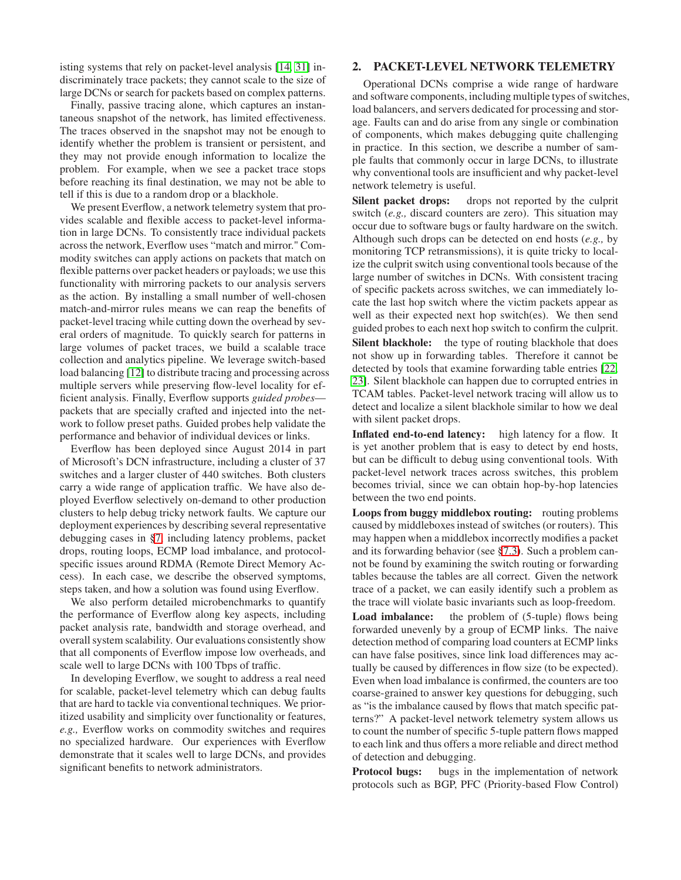isting systems that rely on packet-level analysis [\[14,](#page-12-2) [31\]](#page-12-3) indiscriminately trace packets; they cannot scale to the size of large DCNs or search for packets based on complex patterns.

Finally, passive tracing alone, which captures an instantaneous snapshot of the network, has limited effectiveness. The traces observed in the snapshot may not be enough to identify whether the problem is transient or persistent, and they may not provide enough information to localize the problem. For example, when we see a packet trace stops before reaching its final destination, we may not be able to tell if this is due to a random drop or a blackhole.

We present Everflow, a network telemetry system that provides scalable and flexible access to packet-level information in large DCNs. To consistently trace individual packets across the network, Everflow uses "match and mirror." Commodity switches can apply actions on packets that match on flexible patterns over packet headers or payloads; we use this functionality with mirroring packets to our analysis servers as the action. By installing a small number of well-chosen match-and-mirror rules means we can reap the benefits of packet-level tracing while cutting down the overhead by several orders of magnitude. To quickly search for patterns in large volumes of packet traces, we build a scalable trace collection and analytics pipeline. We leverage switch-based load balancing [\[12\]](#page-11-2) to distribute tracing and processing across multiple servers while preserving flow-level locality for efficient analysis. Finally, Everflow supports *guided probes* packets that are specially crafted and injected into the network to follow preset paths. Guided probes help validate the performance and behavior of individual devices or links.

Everflow has been deployed since August 2014 in part of Microsoft's DCN infrastructure, including a cluster of 37 switches and a larger cluster of 440 switches. Both clusters carry a wide range of application traffic. We have also deployed Everflow selectively on-demand to other production clusters to help debug tricky network faults. We capture our deployment experiences by describing several representative debugging cases in [§7,](#page-7-0) including latency problems, packet drops, routing loops, ECMP load imbalance, and protocolspecific issues around RDMA (Remote Direct Memory Access). In each case, we describe the observed symptoms, steps taken, and how a solution was found using Everflow.

We also perform detailed microbenchmarks to quantify the performance of Everflow along key aspects, including packet analysis rate, bandwidth and storage overhead, and overall system scalability. Our evaluations consistently show that all components of Everflow impose low overheads, and scale well to large DCNs with 100 Tbps of traffic.

In developing Everflow, we sought to address a real need for scalable, packet-level telemetry which can debug faults that are hard to tackle via conventional techniques. We prioritized usability and simplicity over functionality or features, *e.g.,* Everflow works on commodity switches and requires no specialized hardware. Our experiences with Everflow demonstrate that it scales well to large DCNs, and provides significant benefits to network administrators.

# <span id="page-1-0"></span>**2. PACKET-LEVEL NETWORK TELEMETRY**

Operational DCNs comprise a wide range of hardware and software components, including multiple types of switches, load balancers, and servers dedicated for processing and storage. Faults can and do arise from any single or combination of components, which makes debugging quite challenging in practice. In this section, we describe a number of sample faults that commonly occur in large DCNs, to illustrate why conventional tools are insufficient and why packet-level network telemetry is useful.

**Silent packet drops:** drops not reported by the culprit switch (*e.g.,* discard counters are zero). This situation may occur due to software bugs or faulty hardware on the switch. Although such drops can be detected on end hosts (*e.g.,* by monitoring TCP retransmissions), it is quite tricky to localize the culprit switch using conventional tools because of the large number of switches in DCNs. With consistent tracing of specific packets across switches, we can immediately locate the last hop switch where the victim packets appear as well as their expected next hop switch(es). We then send guided probes to each next hop switch to confirm the culprit.

**Silent blackhole:** the type of routing blackhole that does not show up in forwarding tables. Therefore it cannot be detected by tools that examine forwarding table entries [\[22,](#page-12-4) [23\]](#page-12-5). Silent blackhole can happen due to corrupted entries in TCAM tables. Packet-level network tracing will allow us to detect and localize a silent blackhole similar to how we deal with silent packet drops.

**Inflated end-to-end latency:** high latency for a flow. It is yet another problem that is easy to detect by end hosts, but can be difficult to debug using conventional tools. With packet-level network traces across switches, this problem becomes trivial, since we can obtain hop-by-hop latencies between the two end points.

**Loops from buggy middlebox routing:** routing problems caused by middleboxes instead of switches (or routers). This may happen when a middlebox incorrectly modifies a packet and its forwarding behavior (see [§7.3\)](#page-9-0). Such a problem cannot be found by examining the switch routing or forwarding tables because the tables are all correct. Given the network trace of a packet, we can easily identify such a problem as the trace will violate basic invariants such as loop-freedom.

Load imbalance: the problem of (5-tuple) flows being forwarded unevenly by a group of ECMP links. The naive detection method of comparing load counters at ECMP links can have false positives, since link load differences may actually be caused by differences in flow size (to be expected). Even when load imbalance is confirmed, the counters are too coarse-grained to answer key questions for debugging, such as "is the imbalance caused by flows that match specific patterns?" A packet-level network telemetry system allows us to count the number of specific 5-tuple pattern flows mapped to each link and thus offers a more reliable and direct method of detection and debugging.

**Protocol bugs:** bugs in the implementation of network protocols such as BGP, PFC (Priority-based Flow Control)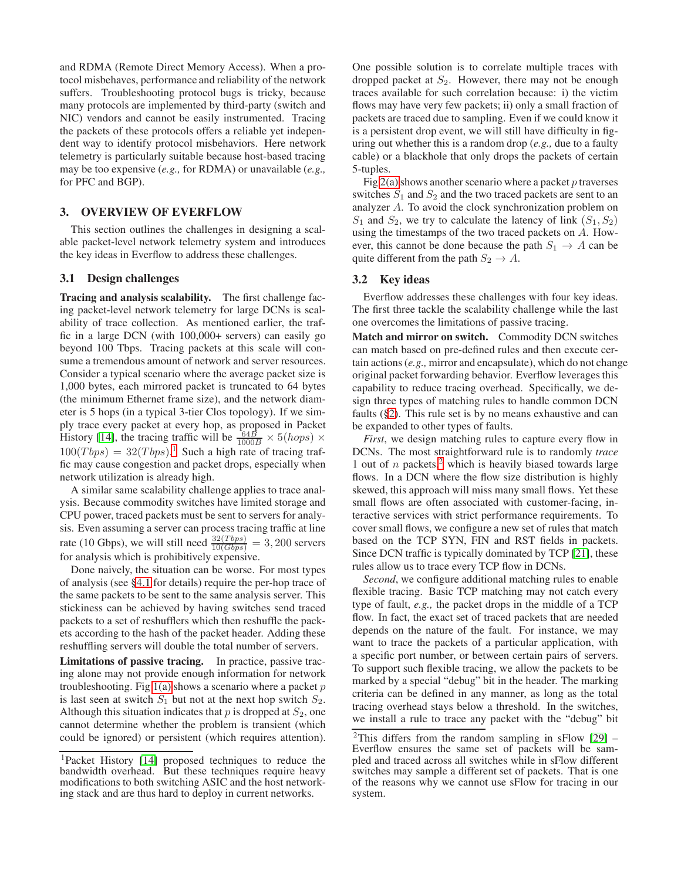and RDMA (Remote Direct Memory Access). When a protocol misbehaves, performance and reliability of the network suffers. Troubleshooting protocol bugs is tricky, because many protocols are implemented by third-party (switch and NIC) vendors and cannot be easily instrumented. Tracing the packets of these protocols offers a reliable yet independent way to identify protocol misbehaviors. Here network telemetry is particularly suitable because host-based tracing may be too expensive (*e.g.,* for RDMA) or unavailable (*e.g.,* for PFC and BGP).

## **3. OVERVIEW OF EVERFLOW**

This section outlines the challenges in designing a scalable packet-level network telemetry system and introduces the key ideas in Everflow to address these challenges.

## <span id="page-2-2"></span>**3.1 Design challenges**

**Tracing and analysis scalability.** The first challenge facing packet-level network telemetry for large DCNs is scalability of trace collection. As mentioned earlier, the traffic in a large DCN (with 100,000+ servers) can easily go beyond 100 Tbps. Tracing packets at this scale will consume a tremendous amount of network and server resources. Consider a typical scenario where the average packet size is 1,000 bytes, each mirrored packet is truncated to 64 bytes (the minimum Ethernet frame size), and the network diameter is 5 hops (in a typical 3-tier Clos topology). If we simply trace every packet at every hop, as proposed in Packet History [\[14\]](#page-12-2), the tracing traffic will be  $\frac{64B}{1000B} \times 5(hops) \times$  $100(Tbps) = 32(Tbps).$  $100(Tbps) = 32(Tbps).$ <sup>1</sup> Such a high rate of tracing traffic may cause congestion and packet drops, especially when network utilization is already high.

A similar same scalability challenge applies to trace analysis. Because commodity switches have limited storage and CPU power, traced packets must be sent to servers for analysis. Even assuming a server can process tracing traffic at line rate (10 Gbps), we will still need  $\frac{32(Tbps)}{10(Gbps)} = 3,200$  servers for analysis which is prohibitively expensive.

Done naively, the situation can be worse. For most types of analysis (see [§4.1](#page-4-0) for details) require the per-hop trace of the same packets to be sent to the same analysis server. This stickiness can be achieved by having switches send traced packets to a set of reshufflers which then reshuffle the packets according to the hash of the packet header. Adding these reshuffling servers will double the total number of servers.

**Limitations of passive tracing.** In practice, passive tracing alone may not provide enough information for network troubleshooting. Fig  $1(a)$  shows a scenario where a packet p is last seen at switch  $S_1$  but not at the next hop switch  $S_2$ . Although this situation indicates that p is dropped at  $S_2$ , one cannot determine whether the problem is transient (which could be ignored) or persistent (which requires attention).

One possible solution is to correlate multiple traces with dropped packet at  $S_2$ . However, there may not be enough traces available for such correlation because: i) the victim flows may have very few packets; ii) only a small fraction of packets are traced due to sampling. Even if we could know it is a persistent drop event, we will still have difficulty in figuring out whether this is a random drop (*e.g.,* due to a faulty cable) or a blackhole that only drops the packets of certain 5-tuples.

Fig  $2(a)$  shows another scenario where a packet p traverses switches  $S_1$  and  $S_2$  and the two traced packets are sent to an analyzer A. To avoid the clock synchronization problem on  $S_1$  and  $S_2$ , we try to calculate the latency of link  $(S_1, S_2)$ using the timestamps of the two traced packets on A. However, this cannot be done because the path  $S_1 \rightarrow A$  can be quite different from the path  $S_2 \rightarrow A$ .

## <span id="page-2-3"></span>**3.2 Key ideas**

Everflow addresses these challenges with four key ideas. The first three tackle the scalability challenge while the last one overcomes the limitations of passive tracing.

**Match and mirror on switch.** Commodity DCN switches can match based on pre-defined rules and then execute certain actions (*e.g.,* mirror and encapsulate), which do not change original packet forwarding behavior. Everflow leverages this capability to reduce tracing overhead. Specifically, we design three types of matching rules to handle common DCN faults ([§2\)](#page-1-0). This rule set is by no means exhaustive and can be expanded to other types of faults.

*First*, we design matching rules to capture every flow in DCNs. The most straightforward rule is to randomly *trace* 1 out of  $n$  packets,<sup>[2](#page-2-1)</sup> which is heavily biased towards large flows. In a DCN where the flow size distribution is highly skewed, this approach will miss many small flows. Yet these small flows are often associated with customer-facing, interactive services with strict performance requirements. To cover small flows, we configure a new set of rules that match based on the TCP SYN, FIN and RST fields in packets. Since DCN traffic is typically dominated by TCP [\[21\]](#page-12-6), these rules allow us to trace every TCP flow in DCNs.

*Second*, we configure additional matching rules to enable flexible tracing. Basic TCP matching may not catch every type of fault, *e.g.,* the packet drops in the middle of a TCP flow. In fact, the exact set of traced packets that are needed depends on the nature of the fault. For instance, we may want to trace the packets of a particular application, with a specific port number, or between certain pairs of servers. To support such flexible tracing, we allow the packets to be marked by a special "debug" bit in the header. The marking criteria can be defined in any manner, as long as the total tracing overhead stays below a threshold. In the switches, we install a rule to trace any packet with the "debug" bit

<span id="page-2-0"></span><sup>1</sup>Packet History [\[14\]](#page-12-2) proposed techniques to reduce the bandwidth overhead. But these techniques require heavy modifications to both switching ASIC and the host networking stack and are thus hard to deploy in current networks.

<span id="page-2-1"></span><sup>&</sup>lt;sup>2</sup>This differs from the random sampling in sFlow  $[29]$  – Everflow ensures the same set of packets will be sampled and traced across all switches while in sFlow different switches may sample a different set of packets. That is one of the reasons why we cannot use sFlow for tracing in our system.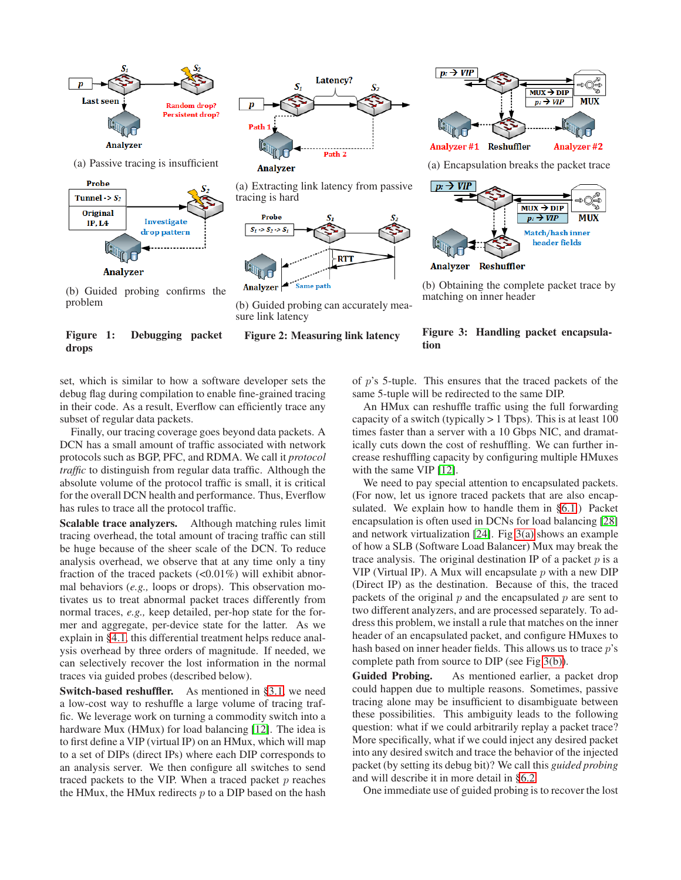<span id="page-3-0"></span>

(a) Passive tracing is insufficient



<span id="page-3-1"></span>

**Analyzer** 

(a) Extracting link latency from passive tracing is hard



<span id="page-3-5"></span>(b) Guided probing can accurately measure link latency

<span id="page-3-4"></span>

# **Figure 1: Debugging packet drops**

**Figure 2: Measuring link latency**

<span id="page-3-2"></span>

(a) Encapsulation breaks the packet trace



<span id="page-3-3"></span>(b) Obtaining the complete packet trace by matching on inner header

## **Figure 3: Handling packet encapsulation**

set, which is similar to how a software developer sets the debug flag during compilation to enable fine-grained tracing in their code. As a result, Everflow can efficiently trace any subset of regular data packets.

Finally, our tracing coverage goes beyond data packets. A DCN has a small amount of traffic associated with network protocols such as BGP, PFC, and RDMA. We call it *protocol traffic* to distinguish from regular data traffic. Although the absolute volume of the protocol traffic is small, it is critical for the overall DCN health and performance. Thus, Everflow has rules to trace all the protocol traffic.

**Scalable trace analyzers.** Although matching rules limit tracing overhead, the total amount of tracing traffic can still be huge because of the sheer scale of the DCN. To reduce analysis overhead, we observe that at any time only a tiny fraction of the traced packets  $\left($ <0.01%) will exhibit abnormal behaviors (*e.g.,* loops or drops). This observation motivates us to treat abnormal packet traces differently from normal traces, *e.g.,* keep detailed, per-hop state for the former and aggregate, per-device state for the latter. As we explain in [§4.1,](#page-4-0) this differential treatment helps reduce analysis overhead by three orders of magnitude. If needed, we can selectively recover the lost information in the normal traces via guided probes (described below).

**Switch-based reshuffler.** As mentioned in [§3.1,](#page-2-2) we need a low-cost way to reshuffle a large volume of tracing traffic. We leverage work on turning a commodity switch into a hardware Mux (HMux) for load balancing [\[12\]](#page-11-2). The idea is to first define a VIP (virtual IP) on an HMux, which will map to a set of DIPs (direct IPs) where each DIP corresponds to an analysis server. We then configure all switches to send traced packets to the VIP. When a traced packet  $p$  reaches the HMux, the HMux redirects  $p$  to a DIP based on the hash of p's 5-tuple. This ensures that the traced packets of the same 5-tuple will be redirected to the same DIP.

An HMux can reshuffle traffic using the full forwarding capacity of a switch (typically  $> 1$  Tbps). This is at least 100 times faster than a server with a 10 Gbps NIC, and dramatically cuts down the cost of reshuffling. We can further increase reshuffling capacity by configuring multiple HMuxes with the same VIP [\[12\]](#page-11-2).

We need to pay special attention to encapsulated packets. (For now, let us ignore traced packets that are also encapsulated. We explain how to handle them in [§6.1.](#page-6-0)) Packet encapsulation is often used in DCNs for load balancing [\[28\]](#page-12-7) and network virtualization [\[24\]](#page-12-8). Fig [3\(a\)](#page-3-2) shows an example of how a SLB (Software Load Balancer) Mux may break the trace analysis. The original destination IP of a packet  $p$  is a VIP (Virtual IP). A Mux will encapsulate  $p$  with a new DIP (Direct IP) as the destination. Because of this, the traced packets of the original  $p$  and the encapsulated  $p$  are sent to two different analyzers, and are processed separately. To address this problem, we install a rule that matches on the inner header of an encapsulated packet, and configure HMuxes to hash based on inner header fields. This allows us to trace p's complete path from source to DIP (see Fig [3\(b\)\)](#page-3-3).

**Guided Probing.** As mentioned earlier, a packet drop could happen due to multiple reasons. Sometimes, passive tracing alone may be insufficient to disambiguate between these possibilities. This ambiguity leads to the following question: what if we could arbitrarily replay a packet trace? More specifically, what if we could inject any desired packet into any desired switch and trace the behavior of the injected packet (by setting its debug bit)? We call this *guided probing* and will describe it in more detail in [§6.2.](#page-6-1)

One immediate use of guided probing is to recover the lost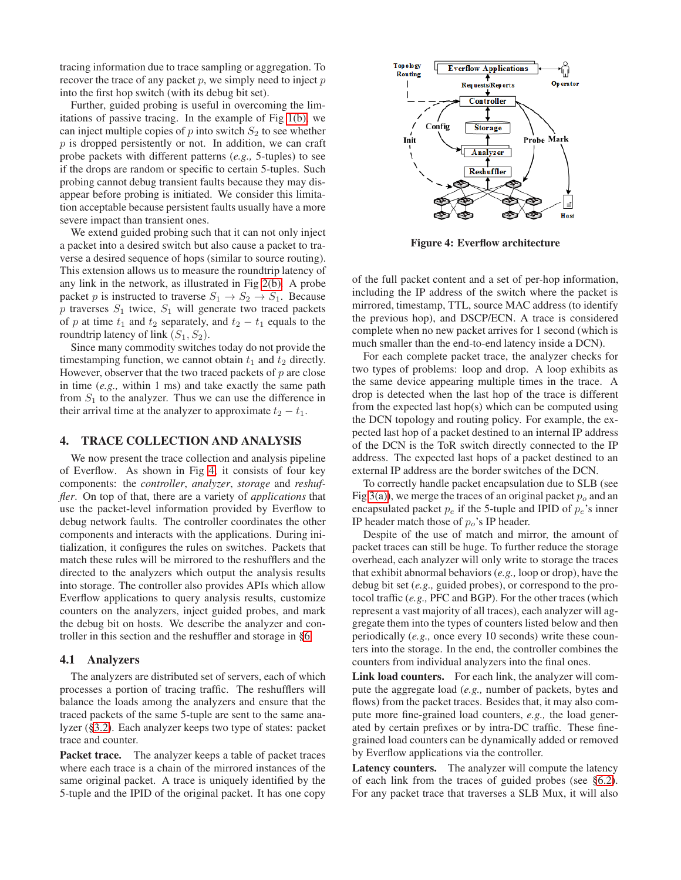tracing information due to trace sampling or aggregation. To recover the trace of any packet  $p$ , we simply need to inject  $p$ into the first hop switch (with its debug bit set).

Further, guided probing is useful in overcoming the limitations of passive tracing. In the example of Fig [1\(b\),](#page-3-4) we can inject multiple copies of  $p$  into switch  $S_2$  to see whether  $p$  is dropped persistently or not. In addition, we can craft probe packets with different patterns (*e.g.,* 5-tuples) to see if the drops are random or specific to certain 5-tuples. Such probing cannot debug transient faults because they may disappear before probing is initiated. We consider this limitation acceptable because persistent faults usually have a more severe impact than transient ones.

We extend guided probing such that it can not only inject a packet into a desired switch but also cause a packet to traverse a desired sequence of hops (similar to source routing). This extension allows us to measure the roundtrip latency of any link in the network, as illustrated in Fig [2\(b\).](#page-3-5) A probe packet p is instructed to traverse  $S_1 \rightarrow S_2 \rightarrow S_1$ . Because  $p$  traverses  $S_1$  twice,  $S_1$  will generate two traced packets of p at time  $t_1$  and  $t_2$  separately, and  $t_2 - t_1$  equals to the roundtrip latency of link  $(S_1, S_2)$ .

Since many commodity switches today do not provide the timestamping function, we cannot obtain  $t_1$  and  $t_2$  directly. However, observer that the two traced packets of  $p$  are close in time (*e.g.,* within 1 ms) and take exactly the same path from  $S_1$  to the analyzer. Thus we can use the difference in their arrival time at the analyzer to approximate  $t_2 - t_1$ .

## <span id="page-4-2"></span>**4. TRACE COLLECTION AND ANALYSIS**

We now present the trace collection and analysis pipeline of Everflow. As shown in Fig [4,](#page-4-1) it consists of four key components: the *controller*, *analyzer*, *storage* and *reshuffler*. On top of that, there are a variety of *applications* that use the packet-level information provided by Everflow to debug network faults. The controller coordinates the other components and interacts with the applications. During initialization, it configures the rules on switches. Packets that match these rules will be mirrored to the reshufflers and the directed to the analyzers which output the analysis results into storage. The controller also provides APIs which allow Everflow applications to query analysis results, customize counters on the analyzers, inject guided probes, and mark the debug bit on hosts. We describe the analyzer and controller in this section and the reshuffler and storage in [§6.](#page-6-2)

## <span id="page-4-0"></span>**4.1 Analyzers**

The analyzers are distributed set of servers, each of which processes a portion of tracing traffic. The reshufflers will balance the loads among the analyzers and ensure that the traced packets of the same 5-tuple are sent to the same analyzer ([§3.2\)](#page-2-3). Each analyzer keeps two type of states: packet trace and counter.

**Packet trace.** The analyzer keeps a table of packet traces where each trace is a chain of the mirrored instances of the same original packet. A trace is uniquely identified by the 5-tuple and the IPID of the original packet. It has one copy



<span id="page-4-1"></span>**Figure 4: Everflow architecture**

of the full packet content and a set of per-hop information, including the IP address of the switch where the packet is mirrored, timestamp, TTL, source MAC address (to identify the previous hop), and DSCP/ECN. A trace is considered complete when no new packet arrives for 1 second (which is much smaller than the end-to-end latency inside a DCN).

For each complete packet trace, the analyzer checks for two types of problems: loop and drop. A loop exhibits as the same device appearing multiple times in the trace. A drop is detected when the last hop of the trace is different from the expected last hop(s) which can be computed using the DCN topology and routing policy. For example, the expected last hop of a packet destined to an internal IP address of the DCN is the ToR switch directly connected to the IP address. The expected last hops of a packet destined to an external IP address are the border switches of the DCN.

To correctly handle packet encapsulation due to SLB (see Fig [3\(a\)\)](#page-3-2), we merge the traces of an original packet  $p<sub>o</sub>$  and an encapsulated packet  $p_e$  if the 5-tuple and IPID of  $p_e$ 's inner IP header match those of  $p<sub>o</sub>$ 's IP header.

Despite of the use of match and mirror, the amount of packet traces can still be huge. To further reduce the storage overhead, each analyzer will only write to storage the traces that exhibit abnormal behaviors (*e.g.,* loop or drop), have the debug bit set (*e.g.,* guided probes), or correspond to the protocol traffic (*e.g.,* PFC and BGP). For the other traces (which represent a vast majority of all traces), each analyzer will aggregate them into the types of counters listed below and then periodically (*e.g.,* once every 10 seconds) write these counters into the storage. In the end, the controller combines the counters from individual analyzers into the final ones.

**Link load counters.** For each link, the analyzer will compute the aggregate load (*e.g.,* number of packets, bytes and flows) from the packet traces. Besides that, it may also compute more fine-grained load counters, *e.g.,* the load generated by certain prefixes or by intra-DC traffic. These finegrained load counters can be dynamically added or removed by Everflow applications via the controller.

**Latency counters.** The analyzer will compute the latency of each link from the traces of guided probes (see [§6.2\)](#page-6-1). For any packet trace that traverses a SLB Mux, it will also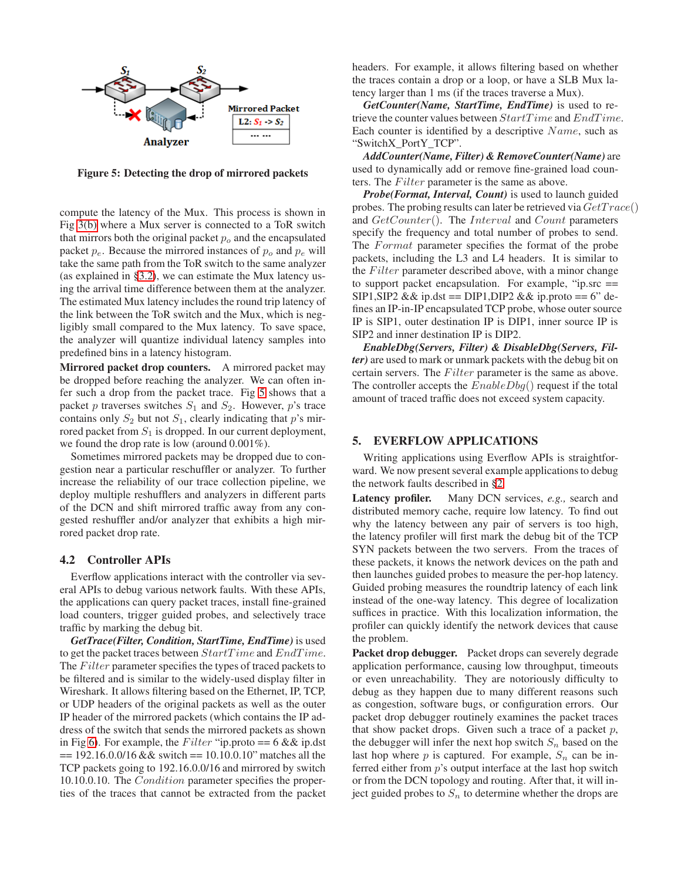

<span id="page-5-0"></span>**Figure 5: Detecting the drop of mirrored packets**

compute the latency of the Mux. This process is shown in Fig [3\(b\)](#page-3-3) where a Mux server is connected to a ToR switch that mirrors both the original packet  $p<sub>o</sub>$  and the encapsulated packet  $p_e$ . Because the mirrored instances of  $p_o$  and  $p_e$  will take the same path from the ToR switch to the same analyzer (as explained in [§3.2\)](#page-2-3), we can estimate the Mux latency using the arrival time difference between them at the analyzer. The estimated Mux latency includes the round trip latency of the link between the ToR switch and the Mux, which is negligibly small compared to the Mux latency. To save space, the analyzer will quantize individual latency samples into predefined bins in a latency histogram.

**Mirrored packet drop counters.** A mirrored packet may be dropped before reaching the analyzer. We can often infer such a drop from the packet trace. Fig [5](#page-5-0) shows that a packet p traverses switches  $S_1$  and  $S_2$ . However, p's trace contains only  $S_2$  but not  $S_1$ , clearly indicating that p's mirrored packet from  $S_1$  is dropped. In our current deployment, we found the drop rate is low (around 0.001%).

Sometimes mirrored packets may be dropped due to congestion near a particular reschuffler or analyzer. To further increase the reliability of our trace collection pipeline, we deploy multiple reshufflers and analyzers in different parts of the DCN and shift mirrored traffic away from any congested reshuffler and/or analyzer that exhibits a high mirrored packet drop rate.

#### <span id="page-5-1"></span>**4.2 Controller APIs**

Everflow applications interact with the controller via several APIs to debug various network faults. With these APIs, the applications can query packet traces, install fine-grained load counters, trigger guided probes, and selectively trace traffic by marking the debug bit.

*GetTrace(Filter, Condition, StartTime, EndTime)* is used to get the packet traces between  $StartTime$  and  $EndTime$ . The Filter parameter specifies the types of traced packets to be filtered and is similar to the widely-used display filter in Wireshark. It allows filtering based on the Ethernet, IP, TCP, or UDP headers of the original packets as well as the outer IP header of the mirrored packets (which contains the IP address of the switch that sends the mirrored packets as shown in Fig [6\)](#page-6-3). For example, the Filter "ip.proto ==  $6 \&\&$  ip.dst  $== 192.16.0.0/16$  & & switch  $== 10.10.0.10$ " matches all the TCP packets going to 192.16.0.0/16 and mirrored by switch 10.10.0.10. The Condition parameter specifies the properties of the traces that cannot be extracted from the packet headers. For example, it allows filtering based on whether the traces contain a drop or a loop, or have a SLB Mux latency larger than 1 ms (if the traces traverse a Mux).

*GetCounter(Name, StartTime, EndTime)* is used to retrieve the counter values between  $StartTime$  and  $EndTime$ . Each counter is identified by a descriptive  $Name$ , such as "SwitchX\_PortY\_TCP".

*AddCounter(Name, Filter) & RemoveCounter(Name)* are used to dynamically add or remove fine-grained load counters. The  $Filter$  parameter is the same as above.

*Probe(Format, Interval, Count)* is used to launch guided probes. The probing results can later be retrieved via  $GetTrace()$ and GetCounter(). The Interval and Count parameters specify the frequency and total number of probes to send. The Format parameter specifies the format of the probe packets, including the L3 and L4 headers. It is similar to the  $Filter$  parameter described above, with a minor change to support packet encapsulation. For example, "ip.src == SIP1, SIP2 &  $\&$  ip.dst == DIP1, DIP2  $\&\&$  ip.proto == 6" defines an IP-in-IP encapsulated TCP probe, whose outer source IP is SIP1, outer destination IP is DIP1, inner source IP is SIP2 and inner destination IP is DIP2.

*EnableDbg(Servers, Filter) & DisableDbg(Servers, Filter)* are used to mark or unmark packets with the debug bit on certain servers. The  $Filter$  parameter is the same as above. The controller accepts the  $EnableDbg()$  request if the total amount of traced traffic does not exceed system capacity.

## **5. EVERFLOW APPLICATIONS**

Writing applications using Everflow APIs is straightforward. We now present several example applications to debug the network faults described in [§2.](#page-1-0)

**Latency profiler.** Many DCN services, *e.g.,* search and distributed memory cache, require low latency. To find out why the latency between any pair of servers is too high, the latency profiler will first mark the debug bit of the TCP SYN packets between the two servers. From the traces of these packets, it knows the network devices on the path and then launches guided probes to measure the per-hop latency. Guided probing measures the roundtrip latency of each link instead of the one-way latency. This degree of localization suffices in practice. With this localization information, the profiler can quickly identify the network devices that cause the problem.

**Packet drop debugger.** Packet drops can severely degrade application performance, causing low throughput, timeouts or even unreachability. They are notoriously difficulty to debug as they happen due to many different reasons such as congestion, software bugs, or configuration errors. Our packet drop debugger routinely examines the packet traces that show packet drops. Given such a trace of a packet  $p$ , the debugger will infer the next hop switch  $S_n$  based on the last hop where  $p$  is captured. For example,  $S_n$  can be inferred either from p's output interface at the last hop switch or from the DCN topology and routing. After that, it will inject guided probes to  $S_n$  to determine whether the drops are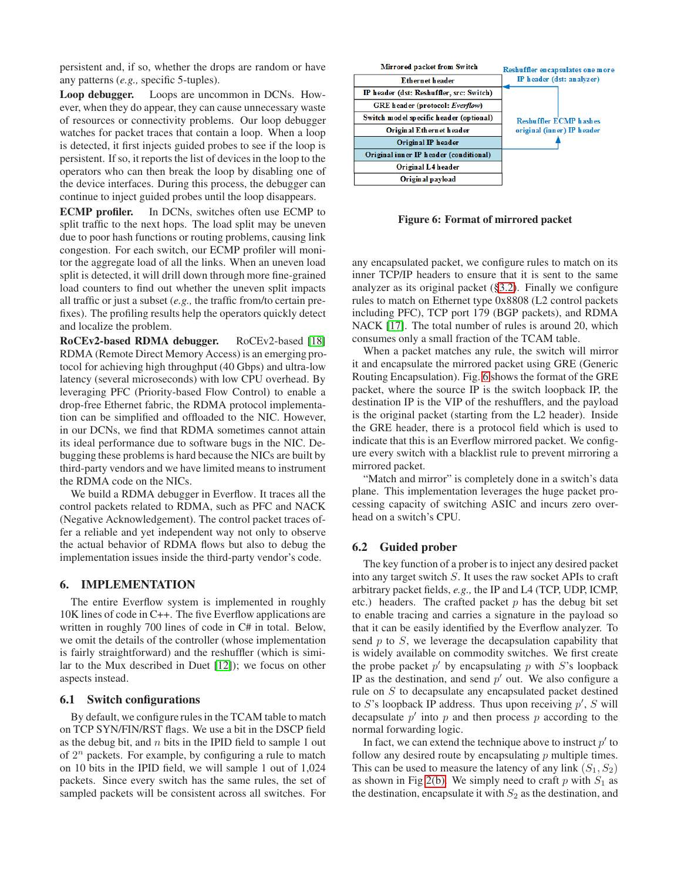persistent and, if so, whether the drops are random or have any patterns (*e.g.,* specific 5-tuples).

**Loop debugger.** Loops are uncommon in DCNs. However, when they do appear, they can cause unnecessary waste of resources or connectivity problems. Our loop debugger watches for packet traces that contain a loop. When a loop is detected, it first injects guided probes to see if the loop is persistent. If so, it reports the list of devices in the loop to the operators who can then break the loop by disabling one of the device interfaces. During this process, the debugger can continue to inject guided probes until the loop disappears.

**ECMP profiler.** In DCNs, switches often use ECMP to split traffic to the next hops. The load split may be uneven due to poor hash functions or routing problems, causing link congestion. For each switch, our ECMP profiler will monitor the aggregate load of all the links. When an uneven load split is detected, it will drill down through more fine-grained load counters to find out whether the uneven split impacts all traffic or just a subset (*e.g.,* the traffic from/to certain prefixes). The profiling results help the operators quickly detect and localize the problem.

**RoCEv2-based RDMA debugger.** RoCEv2-based [\[18\]](#page-12-9) RDMA (Remote Direct Memory Access) is an emerging protocol for achieving high throughput (40 Gbps) and ultra-low latency (several microseconds) with low CPU overhead. By leveraging PFC (Priority-based Flow Control) to enable a drop-free Ethernet fabric, the RDMA protocol implementation can be simplified and offloaded to the NIC. However, in our DCNs, we find that RDMA sometimes cannot attain its ideal performance due to software bugs in the NIC. Debugging these problems is hard because the NICs are built by third-party vendors and we have limited means to instrument the RDMA code on the NICs.

We build a RDMA debugger in Everflow. It traces all the control packets related to RDMA, such as PFC and NACK (Negative Acknowledgement). The control packet traces offer a reliable and yet independent way not only to observe the actual behavior of RDMA flows but also to debug the implementation issues inside the third-party vendor's code.

## <span id="page-6-2"></span>**6. IMPLEMENTATION**

The entire Everflow system is implemented in roughly 10K lines of code in C++. The five Everflow applications are written in roughly 700 lines of code in C# in total. Below, we omit the details of the controller (whose implementation is fairly straightforward) and the reshuffler (which is similar to the Mux described in Duet [\[12\]](#page-11-2)); we focus on other aspects instead.

#### <span id="page-6-0"></span>**6.1 Switch configurations**

By default, we configure rules in the TCAM table to match on TCP SYN/FIN/RST flags. We use a bit in the DSCP field as the debug bit, and  $n$  bits in the IPID field to sample 1 out of  $2^n$  packets. For example, by configuring a rule to match on 10 bits in the IPID field, we will sample 1 out of 1,024 packets. Since every switch has the same rules, the set of sampled packets will be consistent across all switches. For



<span id="page-6-3"></span>**Figure 6: Format of mirrored packet**

any encapsulated packet, we configure rules to match on its inner TCP/IP headers to ensure that it is sent to the same analyzer as its original packet ([§3.2\)](#page-2-3). Finally we configure rules to match on Ethernet type 0x8808 (L2 control packets including PFC), TCP port 179 (BGP packets), and RDMA NACK [\[17\]](#page-12-10). The total number of rules is around 20, which consumes only a small fraction of the TCAM table.

When a packet matches any rule, the switch will mirror it and encapsulate the mirrored packet using GRE (Generic Routing Encapsulation). Fig. [6](#page-6-3) shows the format of the GRE packet, where the source IP is the switch loopback IP, the destination IP is the VIP of the reshufflers, and the payload is the original packet (starting from the L2 header). Inside the GRE header, there is a protocol field which is used to indicate that this is an Everflow mirrored packet. We configure every switch with a blacklist rule to prevent mirroring a mirrored packet.

"Match and mirror" is completely done in a switch's data plane. This implementation leverages the huge packet processing capacity of switching ASIC and incurs zero overhead on a switch's CPU.

## <span id="page-6-1"></span>**6.2 Guided prober**

The key function of a prober is to inject any desired packet into any target switch S. It uses the raw socket APIs to craft arbitrary packet fields, *e.g.,* the IP and L4 (TCP, UDP, ICMP, etc.) headers. The crafted packet  $p$  has the debug bit set to enable tracing and carries a signature in the payload so that it can be easily identified by the Everflow analyzer. To send  $p$  to  $S$ , we leverage the decapsulation capability that is widely available on commodity switches. We first create the probe packet  $p'$  by encapsulating  $p$  with  $S$ 's loopback IP as the destination, and send  $p'$  out. We also configure a rule on S to decapsulate any encapsulated packet destined to  $S$ 's loopback IP address. Thus upon receiving  $p'$ ,  $S$  will decapsulate  $p'$  into  $p$  and then process  $p$  according to the normal forwarding logic.

In fact, we can extend the technique above to instruct  $p'$  to follow any desired route by encapsulating  $p$  multiple times. This can be used to measure the latency of any link  $(S_1, S_2)$ as shown in Fig [2\(b\).](#page-3-5) We simply need to craft  $p$  with  $S_1$  as the destination, encapsulate it with  $S_2$  as the destination, and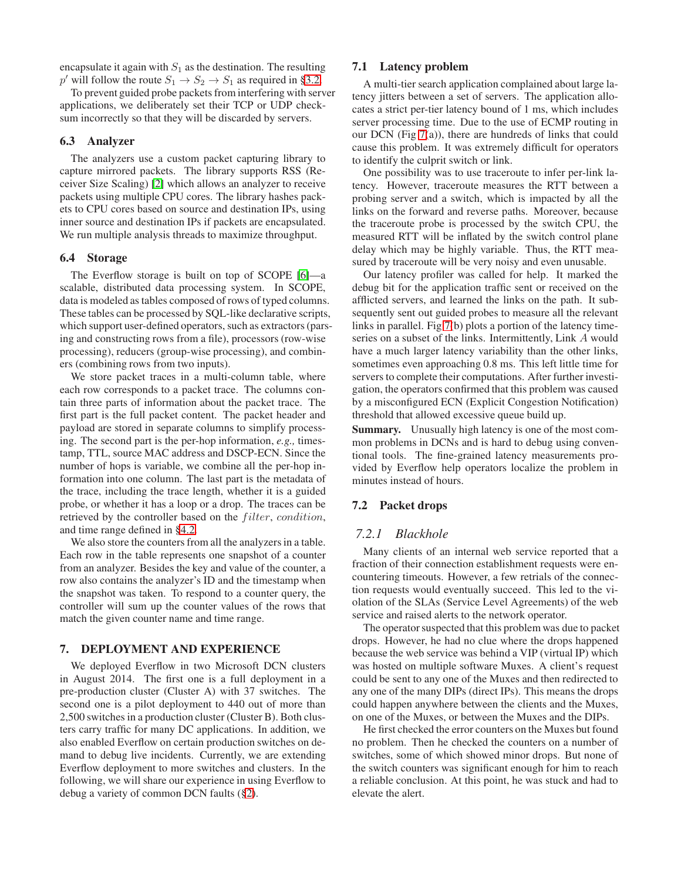encapsulate it again with  $S_1$  as the destination. The resulting p' will follow the route  $S_1 \rightarrow S_2 \rightarrow S_1$  as required in [§3.2.](#page-2-3)

To prevent guided probe packets from interfering with server applications, we deliberately set their TCP or UDP checksum incorrectly so that they will be discarded by servers.

#### **6.3 Analyzer**

The analyzers use a custom packet capturing library to capture mirrored packets. The library supports RSS (Receiver Size Scaling) [\[2\]](#page-11-3) which allows an analyzer to receive packets using multiple CPU cores. The library hashes packets to CPU cores based on source and destination IPs, using inner source and destination IPs if packets are encapsulated. We run multiple analysis threads to maximize throughput.

## **6.4 Storage**

The Everflow storage is built on top of SCOPE [\[6\]](#page-11-4)—a scalable, distributed data processing system. In SCOPE, data is modeled as tables composed of rows of typed columns. These tables can be processed by SQL-like declarative scripts, which support user-defined operators, such as extractors (parsing and constructing rows from a file), processors (row-wise processing), reducers (group-wise processing), and combiners (combining rows from two inputs).

We store packet traces in a multi-column table, where each row corresponds to a packet trace. The columns contain three parts of information about the packet trace. The first part is the full packet content. The packet header and payload are stored in separate columns to simplify processing. The second part is the per-hop information, *e.g.,* timestamp, TTL, source MAC address and DSCP-ECN. Since the number of hops is variable, we combine all the per-hop information into one column. The last part is the metadata of the trace, including the trace length, whether it is a guided probe, or whether it has a loop or a drop. The traces can be retrieved by the controller based on the *filter*, *condition*, and time range defined in [§4.2.](#page-5-1)

We also store the counters from all the analyzers in a table. Each row in the table represents one snapshot of a counter from an analyzer. Besides the key and value of the counter, a row also contains the analyzer's ID and the timestamp when the snapshot was taken. To respond to a counter query, the controller will sum up the counter values of the rows that match the given counter name and time range.

## <span id="page-7-0"></span>**7. DEPLOYMENT AND EXPERIENCE**

We deployed Everflow in two Microsoft DCN clusters in August 2014. The first one is a full deployment in a pre-production cluster (Cluster A) with 37 switches. The second one is a pilot deployment to 440 out of more than 2,500 switches in a production cluster (Cluster B). Both clusters carry traffic for many DC applications. In addition, we also enabled Everflow on certain production switches on demand to debug live incidents. Currently, we are extending Everflow deployment to more switches and clusters. In the following, we will share our experience in using Everflow to debug a variety of common DCN faults ([§2\)](#page-1-0).

## **7.1 Latency problem**

A multi-tier search application complained about large latency jitters between a set of servers. The application allocates a strict per-tier latency bound of 1 ms, which includes server processing time. Due to the use of ECMP routing in our DCN (Fig [7\(](#page-8-0)a)), there are hundreds of links that could cause this problem. It was extremely difficult for operators to identify the culprit switch or link.

One possibility was to use traceroute to infer per-link latency. However, traceroute measures the RTT between a probing server and a switch, which is impacted by all the links on the forward and reverse paths. Moreover, because the traceroute probe is processed by the switch CPU, the measured RTT will be inflated by the switch control plane delay which may be highly variable. Thus, the RTT measured by traceroute will be very noisy and even unusable.

Our latency profiler was called for help. It marked the debug bit for the application traffic sent or received on the afflicted servers, and learned the links on the path. It subsequently sent out guided probes to measure all the relevant links in parallel. Fig [7\(](#page-8-0)b) plots a portion of the latency timeseries on a subset of the links. Intermittently, Link A would have a much larger latency variability than the other links, sometimes even approaching 0.8 ms. This left little time for servers to complete their computations. After further investigation, the operators confirmed that this problem was caused by a misconfigured ECN (Explicit Congestion Notification) threshold that allowed excessive queue build up.

**Summary.** Unusually high latency is one of the most common problems in DCNs and is hard to debug using conventional tools. The fine-grained latency measurements provided by Everflow help operators localize the problem in minutes instead of hours.

## **7.2 Packet drops**

## *7.2.1 Blackhole*

Many clients of an internal web service reported that a fraction of their connection establishment requests were encountering timeouts. However, a few retrials of the connection requests would eventually succeed. This led to the violation of the SLAs (Service Level Agreements) of the web service and raised alerts to the network operator.

The operator suspected that this problem was due to packet drops. However, he had no clue where the drops happened because the web service was behind a VIP (virtual IP) which was hosted on multiple software Muxes. A client's request could be sent to any one of the Muxes and then redirected to any one of the many DIPs (direct IPs). This means the drops could happen anywhere between the clients and the Muxes, on one of the Muxes, or between the Muxes and the DIPs.

He first checked the error counters on the Muxes but found no problem. Then he checked the counters on a number of switches, some of which showed minor drops. But none of the switch counters was significant enough for him to reach a reliable conclusion. At this point, he was stuck and had to elevate the alert.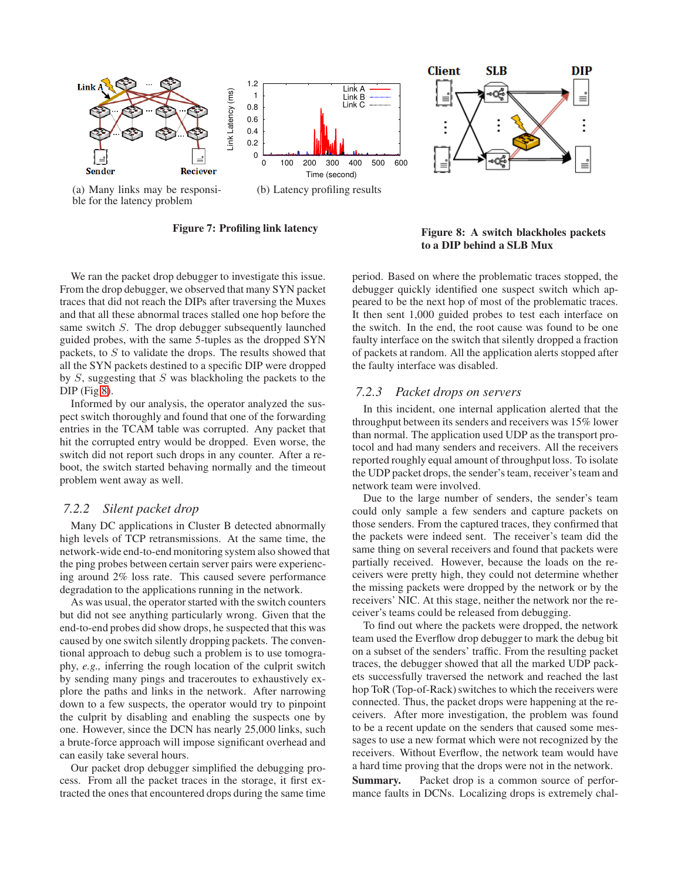

<span id="page-8-0"></span>**Figure 7: Profiling link latency Figure 8: A switch blackholes packets to a DIP behind a SLB Mux**

We ran the packet drop debugger to investigate this issue. From the drop debugger, we observed that many SYN packet traces that did not reach the DIPs after traversing the Muxes and that all these abnormal traces stalled one hop before the same switch S. The drop debugger subsequently launched guided probes, with the same 5-tuples as the dropped SYN packets, to  $S$  to validate the drops. The results showed that all the SYN packets destined to a specific DIP were dropped by  $S$ , suggesting that  $S$  was blackholing the packets to the  $DIP$  (Fig [8\)](#page-8-1).

Informed by our analysis, the operator analyzed the suspect switch thoroughly and found that one of the forwarding entries in the TCAM table was corrupted. Any packet that hit the corrupted entry would be dropped. Even worse, the switch did not report such drops in any counter. After a reboot, the switch started behaving normally and the timeout problem went away as well.

## *7.2.2 Silent packet drop*

Many DC applications in Cluster B detected abnormally high levels of TCP retransmissions. At the same time, the network-wide end-to-end monitoring system also showed that the ping probes between certain server pairs were experiencing around 2% loss rate. This caused severe performance degradation to the applications running in the network.

As was usual, the operator started with the switch counters but did not see anything particularly wrong. Given that the end-to-end probes did show drops, he suspected that this was caused by one switch silently dropping packets. The conventional approach to debug such a problem is to use tomography, *e.g.,* inferring the rough location of the culprit switch by sending many pings and traceroutes to exhaustively explore the paths and links in the network. After narrowing down to a few suspects, the operator would try to pinpoint the culprit by disabling and enabling the suspects one by one. However, since the DCN has nearly 25,000 links, such a brute-force approach will impose significant overhead and can easily take several hours.

Our packet drop debugger simplified the debugging process. From all the packet traces in the storage, it first extracted the ones that encountered drops during the same time

<span id="page-8-1"></span>period. Based on where the problematic traces stopped, the debugger quickly identified one suspect switch which appeared to be the next hop of most of the problematic traces. It then sent 1,000 guided probes to test each interface on the switch. In the end, the root cause was found to be one faulty interface on the switch that silently dropped a fraction of packets at random. All the application alerts stopped after the faulty interface was disabled.

## *7.2.3 Packet drops on servers*

In this incident, one internal application alerted that the throughput between its senders and receivers was 15% lower than normal. The application used UDP as the transport protocol and had many senders and receivers. All the receivers reported roughly equal amount of throughput loss. To isolate the UDP packet drops, the sender's team, receiver's team and network team were involved.

Due to the large number of senders, the sender's team could only sample a few senders and capture packets on those senders. From the captured traces, they confirmed that the packets were indeed sent. The receiver's team did the same thing on several receivers and found that packets were partially received. However, because the loads on the receivers were pretty high, they could not determine whether the missing packets were dropped by the network or by the receivers' NIC. At this stage, neither the network nor the receiver's teams could be released from debugging.

To find out where the packets were dropped, the network team used the Everflow drop debugger to mark the debug bit on a subset of the senders' traffic. From the resulting packet traces, the debugger showed that all the marked UDP packets successfully traversed the network and reached the last hop ToR (Top-of-Rack) switches to which the receivers were connected. Thus, the packet drops were happening at the receivers. After more investigation, the problem was found to be a recent update on the senders that caused some messages to use a new format which were not recognized by the receivers. Without Everflow, the network team would have a hard time proving that the drops were not in the network.

**Summary.** Packet drop is a common source of performance faults in DCNs. Localizing drops is extremely chal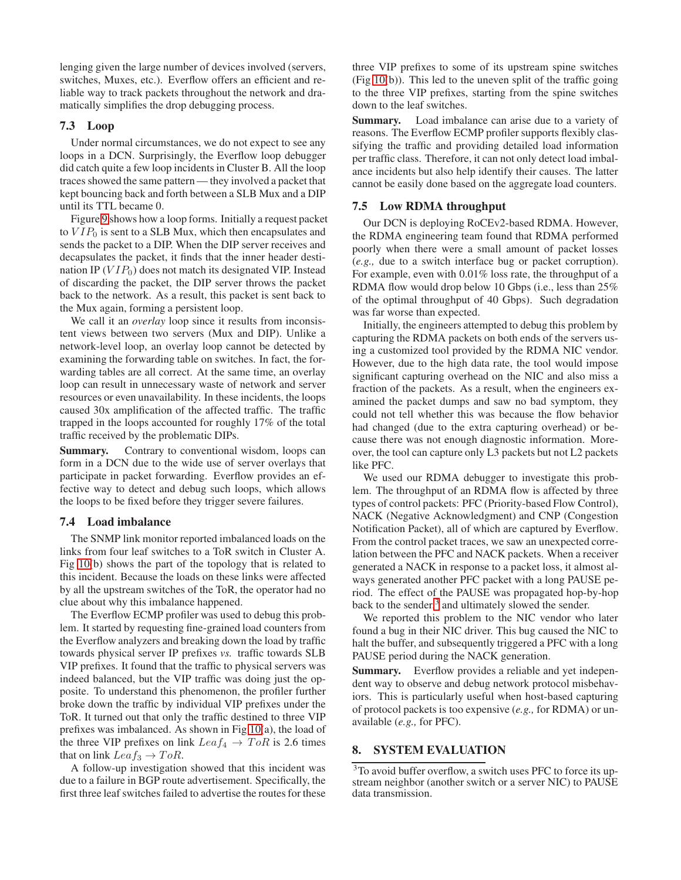lenging given the large number of devices involved (servers, switches, Muxes, etc.). Everflow offers an efficient and reliable way to track packets throughout the network and dramatically simplifies the drop debugging process.

# <span id="page-9-0"></span>**7.3 Loop**

Under normal circumstances, we do not expect to see any loops in a DCN. Surprisingly, the Everflow loop debugger did catch quite a few loop incidents in Cluster B. All the loop traces showed the same pattern — they involved a packet that kept bouncing back and forth between a SLB Mux and a DIP until its TTL became 0.

Figure [9](#page-10-0) shows how a loop forms. Initially a request packet to  $VIP_0$  is sent to a SLB Mux, which then encapsulates and sends the packet to a DIP. When the DIP server receives and decapsulates the packet, it finds that the inner header destination IP  $(VIP_0)$  does not match its designated VIP. Instead of discarding the packet, the DIP server throws the packet back to the network. As a result, this packet is sent back to the Mux again, forming a persistent loop.

We call it an *overlay* loop since it results from inconsistent views between two servers (Mux and DIP). Unlike a network-level loop, an overlay loop cannot be detected by examining the forwarding table on switches. In fact, the forwarding tables are all correct. At the same time, an overlay loop can result in unnecessary waste of network and server resources or even unavailability. In these incidents, the loops caused 30x amplification of the affected traffic. The traffic trapped in the loops accounted for roughly 17% of the total traffic received by the problematic DIPs.

**Summary.** Contrary to conventional wisdom, loops can form in a DCN due to the wide use of server overlays that participate in packet forwarding. Everflow provides an effective way to detect and debug such loops, which allows the loops to be fixed before they trigger severe failures.

## **7.4 Load imbalance**

The SNMP link monitor reported imbalanced loads on the links from four leaf switches to a ToR switch in Cluster A. Fig [10\(](#page-10-1)b) shows the part of the topology that is related to this incident. Because the loads on these links were affected by all the upstream switches of the ToR, the operator had no clue about why this imbalance happened.

The Everflow ECMP profiler was used to debug this problem. It started by requesting fine-grained load counters from the Everflow analyzers and breaking down the load by traffic towards physical server IP prefixes *vs.* traffic towards SLB VIP prefixes. It found that the traffic to physical servers was indeed balanced, but the VIP traffic was doing just the opposite. To understand this phenomenon, the profiler further broke down the traffic by individual VIP prefixes under the ToR. It turned out that only the traffic destined to three VIP prefixes was imbalanced. As shown in Fig [10\(](#page-10-1)a), the load of the three VIP prefixes on link  $Leaf_4 \rightarrow ToR$  is 2.6 times that on link  $Leaf_3 \rightarrow ToR$ .

A follow-up investigation showed that this incident was due to a failure in BGP route advertisement. Specifically, the first three leaf switches failed to advertise the routes for these three VIP prefixes to some of its upstream spine switches (Fig [10\(](#page-10-1)b)). This led to the uneven split of the traffic going to the three VIP prefixes, starting from the spine switches down to the leaf switches.

**Summary.** Load imbalance can arise due to a variety of reasons. The Everflow ECMP profiler supports flexibly classifying the traffic and providing detailed load information per traffic class. Therefore, it can not only detect load imbalance incidents but also help identify their causes. The latter cannot be easily done based on the aggregate load counters.

## **7.5 Low RDMA throughput**

Our DCN is deploying RoCEv2-based RDMA. However, the RDMA engineering team found that RDMA performed poorly when there were a small amount of packet losses (*e.g.,* due to a switch interface bug or packet corruption). For example, even with 0.01% loss rate, the throughput of a RDMA flow would drop below 10 Gbps (i.e., less than 25% of the optimal throughput of 40 Gbps). Such degradation was far worse than expected.

Initially, the engineers attempted to debug this problem by capturing the RDMA packets on both ends of the servers using a customized tool provided by the RDMA NIC vendor. However, due to the high data rate, the tool would impose significant capturing overhead on the NIC and also miss a fraction of the packets. As a result, when the engineers examined the packet dumps and saw no bad symptom, they could not tell whether this was because the flow behavior had changed (due to the extra capturing overhead) or because there was not enough diagnostic information. Moreover, the tool can capture only L3 packets but not L2 packets like PFC.

We used our RDMA debugger to investigate this problem. The throughput of an RDMA flow is affected by three types of control packets: PFC (Priority-based Flow Control), NACK (Negative Acknowledgment) and CNP (Congestion Notification Packet), all of which are captured by Everflow. From the control packet traces, we saw an unexpected correlation between the PFC and NACK packets. When a receiver generated a NACK in response to a packet loss, it almost always generated another PFC packet with a long PAUSE period. The effect of the PAUSE was propagated hop-by-hop back to the sender,<sup>[3](#page-9-1)</sup> and ultimately slowed the sender.

We reported this problem to the NIC vendor who later found a bug in their NIC driver. This bug caused the NIC to halt the buffer, and subsequently triggered a PFC with a long PAUSE period during the NACK generation.

**Summary.** Everflow provides a reliable and yet independent way to observe and debug network protocol misbehaviors. This is particularly useful when host-based capturing of protocol packets is too expensive (*e.g.,* for RDMA) or unavailable (*e.g.,* for PFC).

# **8. SYSTEM EVALUATION**

<span id="page-9-1"></span><sup>3</sup>To avoid buffer overflow, a switch uses PFC to force its upstream neighbor (another switch or a server NIC) to PAUSE data transmission.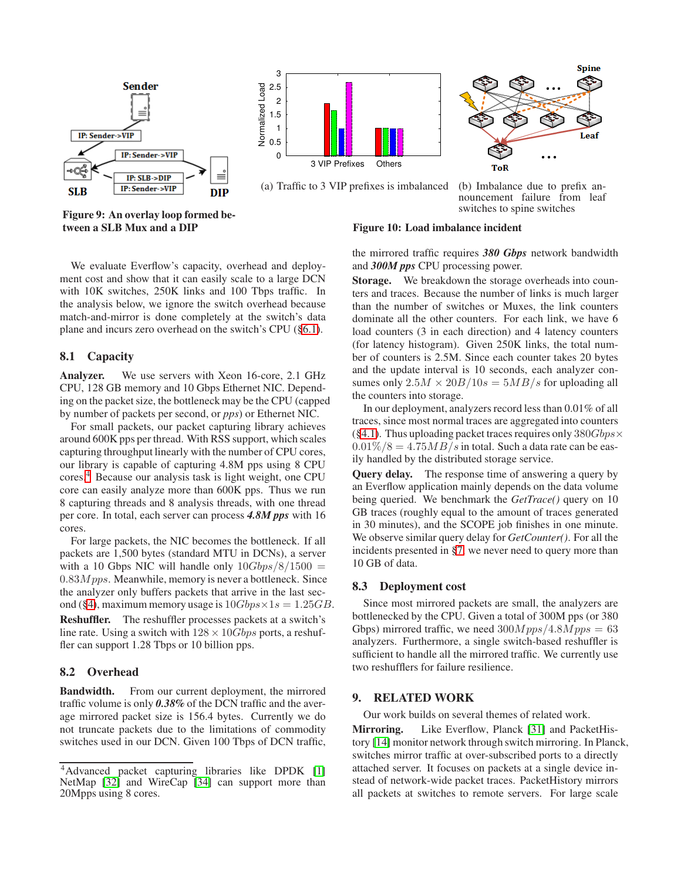

<span id="page-10-0"></span>**Figure 9: An overlay loop formed between a SLB Mux and a DIP**



(a) Traffic to 3 VIP prefixes is imbalanced (b) Imbalance due to prefix an-



nouncement failure from leaf switches to spine switches

#### <span id="page-10-1"></span>**Figure 10: Load imbalance incident**

We evaluate Everflow's capacity, overhead and deployment cost and show that it can easily scale to a large DCN with 10K switches, 250K links and 100 Tbps traffic. In the analysis below, we ignore the switch overhead because match-and-mirror is done completely at the switch's data plane and incurs zero overhead on the switch's CPU ([§6.1\)](#page-6-0).

#### **8.1 Capacity**

**Analyzer.** We use servers with Xeon 16-core, 2.1 GHz CPU, 128 GB memory and 10 Gbps Ethernet NIC. Depending on the packet size, the bottleneck may be the CPU (capped by number of packets per second, or *pps*) or Ethernet NIC.

For small packets, our packet capturing library achieves around 600K pps per thread. With RSS support, which scales capturing throughput linearly with the number of CPU cores, our library is capable of capturing 4.8M pps using 8 CPU cores.[4](#page-10-2) Because our analysis task is light weight, one CPU core can easily analyze more than 600K pps. Thus we run 8 capturing threads and 8 analysis threads, with one thread per core. In total, each server can process *4.8M pps* with 16 cores.

For large packets, the NIC becomes the bottleneck. If all packets are 1,500 bytes (standard MTU in DCNs), a server with a 10 Gbps NIC will handle only  $10Gbps/8/1500 =$  $0.83Mpps$ . Meanwhile, memory is never a bottleneck. Since the analyzer only buffers packets that arrive in the last sec-ond ([§4\)](#page-4-2), maximum memory usage is  $10Gbps \times 1s = 1.25GB$ .

**Reshuffler.** The reshuffler processes packets at a switch's line rate. Using a switch with  $128 \times 10Gbps$  ports, a reshuffler can support 1.28 Tbps or 10 billion pps.

# **8.2 Overhead**

**Bandwidth.** From our current deployment, the mirrored traffic volume is only *0.38%* of the DCN traffic and the average mirrored packet size is 156.4 bytes. Currently we do not truncate packets due to the limitations of commodity switches used in our DCN. Given 100 Tbps of DCN traffic,

the mirrored traffic requires *380 Gbps* network bandwidth and *300M pps* CPU processing power.

**Storage.** We breakdown the storage overheads into counters and traces. Because the number of links is much larger than the number of switches or Muxes, the link counters dominate all the other counters. For each link, we have 6 load counters (3 in each direction) and 4 latency counters (for latency histogram). Given 250K links, the total number of counters is 2.5M. Since each counter takes 20 bytes and the update interval is 10 seconds, each analyzer consumes only  $2.5M \times 20B/10s = 5MB/s$  for uploading all the counters into storage.

In our deployment, analyzers record less than 0.01% of all traces, since most normal traces are aggregated into counters ([§4.1\)](#page-4-0). Thus uploading packet traces requires only  $380Gbps \times$  $0.01\%/8 = 4.75MB/s$  in total. Such a data rate can be easily handled by the distributed storage service.

**Query delay.** The response time of answering a query by an Everflow application mainly depends on the data volume being queried. We benchmark the *GetTrace()* query on 10 GB traces (roughly equal to the amount of traces generated in 30 minutes), and the SCOPE job finishes in one minute. We observe similar query delay for *GetCounter()*. For all the incidents presented in [§7,](#page-7-0) we never need to query more than 10 GB of data.

#### **8.3 Deployment cost**

Since most mirrored packets are small, the analyzers are bottlenecked by the CPU. Given a total of 300M pps (or 380 Gbps) mirrored traffic, we need  $300Mpps/4.8Mpps = 63$ analyzers. Furthermore, a single switch-based reshuffler is sufficient to handle all the mirrored traffic. We currently use two reshufflers for failure resilience.

## **9. RELATED WORK**

Our work builds on several themes of related work.

**Mirroring.** Like Everflow, Planck [\[31\]](#page-12-3) and PacketHistory [\[14\]](#page-12-2) monitor network through switch mirroring. In Planck, switches mirror traffic at over-subscribed ports to a directly attached server. It focuses on packets at a single device instead of network-wide packet traces. PacketHistory mirrors all packets at switches to remote servers. For large scale

<span id="page-10-2"></span><sup>4</sup>Advanced packet capturing libraries like DPDK [\[1\]](#page-11-5) NetMap [\[32\]](#page-12-11) and WireCap [\[34\]](#page-12-12) can support more than 20Mpps using 8 cores.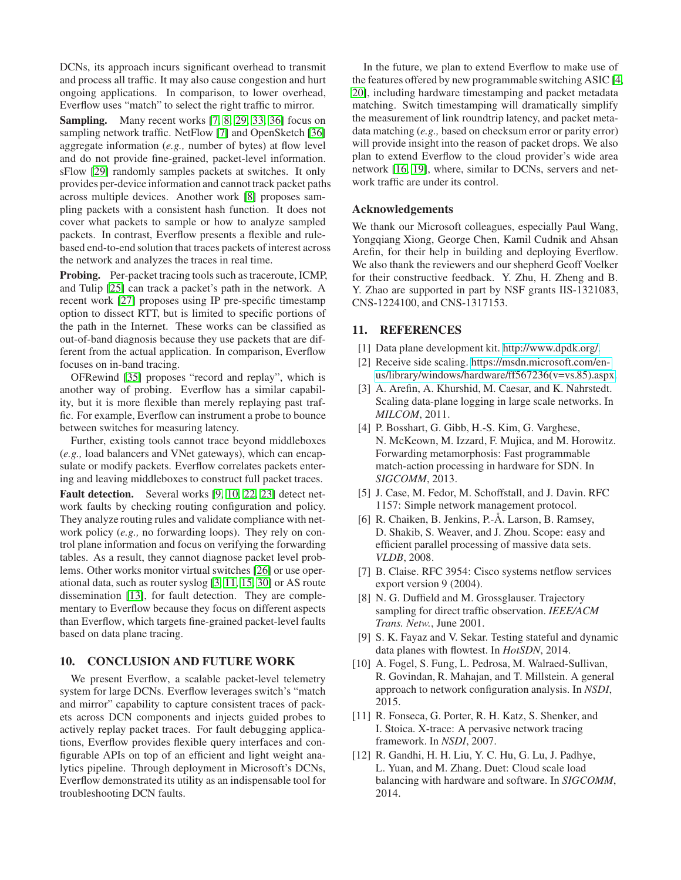DCNs, its approach incurs significant overhead to transmit and process all traffic. It may also cause congestion and hurt ongoing applications. In comparison, to lower overhead, Everflow uses "match" to select the right traffic to mirror.

**Sampling.** Many recent works [\[7,](#page-11-0) [8,](#page-11-6) [29,](#page-12-1) [33,](#page-12-13) [36\]](#page-12-0) focus on sampling network traffic. NetFlow [\[7\]](#page-11-0) and OpenSketch [\[36\]](#page-12-0) aggregate information (*e.g.,* number of bytes) at flow level and do not provide fine-grained, packet-level information. sFlow [\[29\]](#page-12-1) randomly samples packets at switches. It only provides per-device information and cannot track packet paths across multiple devices. Another work [\[8\]](#page-11-6) proposes sampling packets with a consistent hash function. It does not cover what packets to sample or how to analyze sampled packets. In contrast, Everflow presents a flexible and rulebased end-to-end solution that traces packets of interest across the network and analyzes the traces in real time.

**Probing.** Per-packet tracing tools such as traceroute, ICMP, and Tulip [\[25\]](#page-12-14) can track a packet's path in the network. A recent work [\[27\]](#page-12-15) proposes using IP pre-specific timestamp option to dissect RTT, but is limited to specific portions of the path in the Internet. These works can be classified as out-of-band diagnosis because they use packets that are different from the actual application. In comparison, Everflow focuses on in-band tracing.

OFRewind [\[35\]](#page-12-16) proposes "record and replay", which is another way of probing. Everflow has a similar capability, but it is more flexible than merely replaying past traffic. For example, Everflow can instrument a probe to bounce between switches for measuring latency.

Further, existing tools cannot trace beyond middleboxes (*e.g.,* load balancers and VNet gateways), which can encapsulate or modify packets. Everflow correlates packets entering and leaving middleboxes to construct full packet traces.

Fault detection. Several works [\[9,](#page-11-7) [10,](#page-11-8) [22,](#page-12-4) [23\]](#page-12-5) detect network faults by checking routing configuration and policy. They analyze routing rules and validate compliance with network policy (*e.g.,* no forwarding loops). They rely on control plane information and focus on verifying the forwarding tables. As a result, they cannot diagnose packet level problems. Other works monitor virtual switches [\[26\]](#page-12-17) or use operational data, such as router syslog [\[3,](#page-11-9) [11,](#page-11-10) [15,](#page-12-18) [30\]](#page-12-19) or AS route dissemination [\[13\]](#page-12-20), for fault detection. They are complementary to Everflow because they focus on different aspects than Everflow, which targets fine-grained packet-level faults based on data plane tracing.

## **10. CONCLUSION AND FUTURE WORK**

We present Everflow, a scalable packet-level telemetry system for large DCNs. Everflow leverages switch's "match and mirror" capability to capture consistent traces of packets across DCN components and injects guided probes to actively replay packet traces. For fault debugging applications, Everflow provides flexible query interfaces and configurable APIs on top of an efficient and light weight analytics pipeline. Through deployment in Microsoft's DCNs, Everflow demonstrated its utility as an indispensable tool for troubleshooting DCN faults.

In the future, we plan to extend Everflow to make use of the features offered by new programmable switching ASIC [\[4,](#page-11-11) [20\]](#page-12-21), including hardware timestamping and packet metadata matching. Switch timestamping will dramatically simplify the measurement of link roundtrip latency, and packet metadata matching (*e.g.,* based on checksum error or parity error) will provide insight into the reason of packet drops. We also plan to extend Everflow to the cloud provider's wide area network [\[16,](#page-12-22) [19\]](#page-12-23), where, similar to DCNs, servers and network traffic are under its control.

## **Acknowledgements**

We thank our Microsoft colleagues, especially Paul Wang, Yongqiang Xiong, George Chen, Kamil Cudnik and Ahsan Arefin, for their help in building and deploying Everflow. We also thank the reviewers and our shepherd Geoff Voelker for their constructive feedback. Y. Zhu, H. Zheng and B. Y. Zhao are supported in part by NSF grants IIS-1321083, CNS-1224100, and CNS-1317153.

# <span id="page-11-5"></span>**11. REFERENCES**

- <span id="page-11-3"></span>[1] Data plane development kit. [http://www.dpdk.org/.](http://www.dpdk.org/)
- [2] Receive side scaling. [https://msdn.microsoft.com/en](https://msdn.microsoft.com/en-us/library/windows/hardware/ff567236(v=vs.85).aspx)[us/library/windows/hardware/ff567236\(v=vs.85\).aspx.](https://msdn.microsoft.com/en-us/library/windows/hardware/ff567236(v=vs.85).aspx)
- <span id="page-11-9"></span>[3] A. Arefin, A. Khurshid, M. Caesar, and K. Nahrstedt. Scaling data-plane logging in large scale networks. In *MILCOM*, 2011.
- <span id="page-11-11"></span>[4] P. Bosshart, G. Gibb, H.-S. Kim, G. Varghese, N. McKeown, M. Izzard, F. Mujica, and M. Horowitz. Forwarding metamorphosis: Fast programmable match-action processing in hardware for SDN. In *SIGCOMM*, 2013.
- <span id="page-11-1"></span>[5] J. Case, M. Fedor, M. Schoffstall, and J. Davin. RFC 1157: Simple network management protocol.
- <span id="page-11-4"></span>[6] R. Chaiken, B. Jenkins, P.-Å. Larson, B. Ramsey, D. Shakib, S. Weaver, and J. Zhou. Scope: easy and efficient parallel processing of massive data sets. *VLDB*, 2008.
- <span id="page-11-0"></span>[7] B. Claise. RFC 3954: Cisco systems netflow services export version 9 (2004).
- <span id="page-11-6"></span>[8] N. G. Duffield and M. Grossglauser. Trajectory sampling for direct traffic observation. *IEEE/ACM Trans. Netw.*, June 2001.
- <span id="page-11-7"></span>[9] S. K. Fayaz and V. Sekar. Testing stateful and dynamic data planes with flowtest. In *HotSDN*, 2014.
- <span id="page-11-8"></span>[10] A. Fogel, S. Fung, L. Pedrosa, M. Walraed-Sullivan, R. Govindan, R. Mahajan, and T. Millstein. A general approach to network configuration analysis. In *NSDI*, 2015.
- <span id="page-11-10"></span>[11] R. Fonseca, G. Porter, R. H. Katz, S. Shenker, and I. Stoica. X-trace: A pervasive network tracing framework. In *NSDI*, 2007.
- <span id="page-11-2"></span>[12] R. Gandhi, H. H. Liu, Y. C. Hu, G. Lu, J. Padhye, L. Yuan, and M. Zhang. Duet: Cloud scale load balancing with hardware and software. In *SIGCOMM*, 2014.